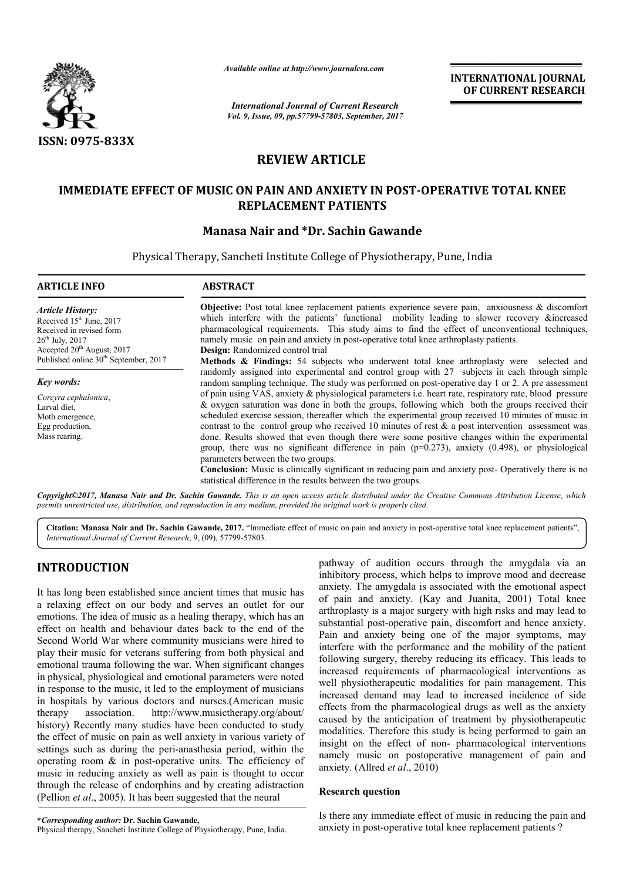

*Available online at http://www.journal http://www.journalcra.com*

*International Journal of Current Research Vol. 9, Issue, 09, pp.57799-57803, September, 2017* **INTERNATIONAL JOURNAL OF CURRENT RESEARCH** 

# **REVIEW ARTICLE**

# **IMMEDIATE EFFECT OF MUSIC ON PAIN AND ANXIETY IN POST-OPERATIVE TOTAL KNEE REPLACEMENT PATIENTS**

# **Manas Manasa Nair and \*Dr. Sachin Gawande**

Physical Therapy, Sancheti Institute College of Physiotherapy, Pune, India

| <b>ARTICLE INFO</b>                                                                                                                                   | <b>ABSTRACT</b>                                                                                                                                                                                                                                                                                                                                                                                                                                                                                                                                                                                                                                                                                                                                                                                                                                               |  |  |  |  |  |
|-------------------------------------------------------------------------------------------------------------------------------------------------------|---------------------------------------------------------------------------------------------------------------------------------------------------------------------------------------------------------------------------------------------------------------------------------------------------------------------------------------------------------------------------------------------------------------------------------------------------------------------------------------------------------------------------------------------------------------------------------------------------------------------------------------------------------------------------------------------------------------------------------------------------------------------------------------------------------------------------------------------------------------|--|--|--|--|--|
| <b>Article History:</b><br>Received 15 <sup>th</sup> June, 2017<br>Received in revised form<br>$26^{th}$ July, $2017$<br>Accepted $20th$ August, 2017 | <b>Objective:</b> Post total knee replacement patients experience severe pain, anxiousness $\&$ discomfort<br>which interfere with the patients' functional mobility leading to slower recovery &increased<br>pharmacological requirements. This study aims to find the effect of unconventional techniques,<br>namely music on pain and anxiety in post-operative total knee arthroplasty patients.<br>Design: Randomized control trial                                                                                                                                                                                                                                                                                                                                                                                                                      |  |  |  |  |  |
| Published online 30 <sup>th</sup> September, 2017                                                                                                     | <b>Methods &amp; Findings:</b> 54 subjects who underwent total knee arthroplasty were selected and<br>randomly assigned into experimental and control group with 27 subjects in each through simple                                                                                                                                                                                                                                                                                                                                                                                                                                                                                                                                                                                                                                                           |  |  |  |  |  |
| Key words:                                                                                                                                            | random sampling technique. The study was performed on post-operative day 1 or 2. A pre assessment                                                                                                                                                                                                                                                                                                                                                                                                                                                                                                                                                                                                                                                                                                                                                             |  |  |  |  |  |
| Corcyra cephalonica.<br>Larval diet.<br>Moth emergence,<br>Egg production,<br>Mass rearing.                                                           | of pain using VAS, anxiety & physiological parameters i.e. heart rate, respiratory rate, blood pressure<br>& oxygen saturation was done in both the groups, following which both the groups received their<br>scheduled exercise session, thereafter which the experimental group received 10 minutes of music in<br>contrast to the control group who received 10 minutes of rest $\&$ a post intervention assessment was<br>done. Results showed that even though there were some positive changes within the experimental<br>group, there was no significant difference in pain $(p=0.273)$ , anxiety $(0.498)$ , or physiological<br>parameters between the two groups.<br><b>Conclusion:</b> Music is clinically significant in reducing pain and anxiety post- Operatively there is no<br>statistical difference in the results between the two groups. |  |  |  |  |  |

*Copyright©2017, Manasa Nair and Dr. Sachin Gawande Gawande. This is an open access article distributed under the Creative Commons Att access under Commons Attribution License, which permits unrestricted use, distribution, and reproduction in any medium, provided the original work is properly cited.*

Citation: Manasa Nair and Dr. Sachin Gawande, 2017. "Immediate effect of music on pain and anxiety in post-operative total knee replacement patients", *International Journal of Current Research*, 9, (09), 577 57799-57803.

# **INTRODUCTION**

It has long been established since ancient times that music has a relaxing effect on our body and serves an outlet for our emotions. The idea of music as a healing therapy, which has an effect on health and behaviour dates back to the end of the Second World War where community musicians were hired to play their music for veterans suffering from both physical and emotional trauma following the war. When significant changes in physical, physiological and emotional parameters were noted in response to the music, it led to the employment of musicians in hospitals by various doctors and nurses. (American music therapy association. http://www.musictherapy.org/about/ history) Recently many studies have been conducted to study the effect of music on pain as well anxiety in various variety of settings such as during the peri-anasthesia period, within the operating room  $\&$  in post-operative units. The efficiency of music in reducing anxiety as well as pain is thought to occur through the release of endorphins and by creating adistraction (Pellion *et al*., 2005). It has been suggested that the neural uma following the war. When significant changes<br>hysiological and emotional parameters were noted<br>o the music, it led to the employment of musicians<br>by various doctors and nurses.(American music ion. http://www.musictherapy.org/about/<br>hany studies have been conducted to study<br>on pain as well anxiety in various variety of<br>ring the peri-anasthesia period, within the<br>in post-operative units. The efficiency of<br>anxiety

Physical therapy, Sancheti Institute College of Physiotherapy, Pune, India.

pathway of audition occurs through the amygdala via an inhibitory process, which helps to improve mood and decrease anxiety. The amygdala is associated with the emotional aspect of pain and anxiety. (Kay and Juanita, 2001) Total knee arthroplasty is a major surgery with high risks and may lead to substantial post-operative pain, discomfort and hence anxiety. arthroplasty is a major surgery with high risks and may lead to substantial post-operative pain, discomfort and hence anxiety.<br>Pain and anxiety being one of the major symptoms, may interfere with the performance and the mobility of the patient following surgery, thereby reducing its efficacy. This leads to increased requirements of pharmacological interventions as well physiotherapeutic modalities for pain management. This increased demand may lead to increased incidence of side effects from the pharmacological drugs as well as the anxiety caused by the anticipation of treatment by physiotherapeutic modalities. Therefore this study is being performed to gain an insight on the effect of non-pharmacological interventions namely music on postoperative management of pain and anxiety. (Allred *et al*., 2010) audition occurs through the amygdala via an ocess, which helps to improve mood and decrease amygdala is associated with the emotional aspect interfere with the performance and the mobility of the patient following surgery, thereby reducing its efficacy. This leads to increased requirements of pharmacological interventions as well physiotherapeutic modalities fo

## **Research question**

Is there any immediate effect of music in reducing the pain and anxiety in post-operative total knee replacement mannely music on postoperative management of pain and<br>anxiety. (Allred *et al.*, 2010)<br>**Research question**<br>Is there any immediate effect of music in reducing the pain and<br>anxiety in post-operative total knee replacement pa

**<sup>\*</sup>***Corresponding author:* **Dr. Sachin Gawande,**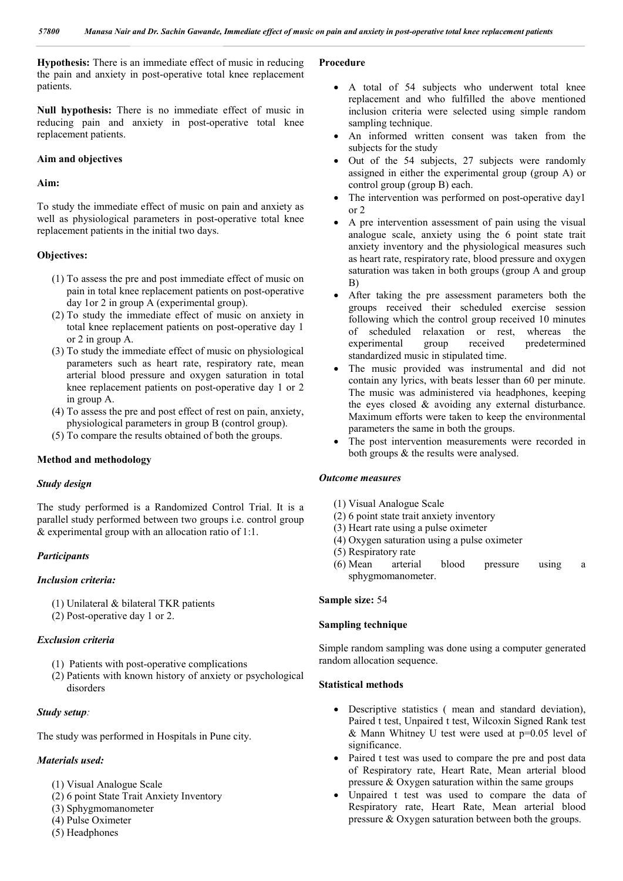**Hypothesis:** There is an immediate effect of music in reducing the pain and anxiety in post-operative total knee replacement patients.

**Null hypothesis:** There is no immediate effect of music in reducing pain and anxiety in post-operative total knee replacement patients.

### **Aim and objectives**

#### **Aim:**

To study the immediate effect of music on pain and anxiety as well as physiological parameters in post-operative total knee replacement patients in the initial two days.

## **Objectives:**

- (1) To assess the pre and post immediate effect of music on pain in total knee replacement patients on post-operative day 1or 2 in group A (experimental group).
- (2) To study the immediate effect of music on anxiety in total knee replacement patients on post-operative day 1 or 2 in group A.
- (3) To study the immediate effect of music on physiological parameters such as heart rate, respiratory rate, mean arterial blood pressure and oxygen saturation in total knee replacement patients on post-operative day 1 or 2 in group A.
- (4) To assess the pre and post effect of rest on pain, anxiety, physiological parameters in group B (control group).
- (5) To compare the results obtained of both the groups.

#### **Method and methodology**

#### *Study design*

The study performed is a Randomized Control Trial. It is a parallel study performed between two groups i.e. control group & experimental group with an allocation ratio of 1:1.

## *Participants*

#### *Inclusion criteria:*

(1) Unilateral & bilateral TKR patients

(2) Post-operative day 1 or 2.

## *Exclusion criteria*

- (1) Patients with post-operative complications
- (2) Patients with known history of anxiety or psychological disorders

### *Study setup:*

The study was performed in Hospitals in Pune city.

## *Materials used:*

- (1) Visual Analogue Scale
- (2) 6 point State Trait Anxiety Inventory
- (3) Sphygmomanometer
- (4) Pulse Oximeter
- (5) Headphones

## **Procedure**

- A total of 54 subjects who underwent total knee replacement and who fulfilled the above mentioned inclusion criteria were selected using simple random sampling technique.
- An informed written consent was taken from the subjects for the study
- Out of the 54 subjects, 27 subjects were randomly assigned in either the experimental group (group A) or control group (group B) each.
- The intervention was performed on post-operative day1 or 2
- A pre intervention assessment of pain using the visual analogue scale, anxiety using the 6 point state trait anxiety inventory and the physiological measures such as heart rate, respiratory rate, blood pressure and oxygen saturation was taken in both groups (group A and group B)
- After taking the pre assessment parameters both the groups received their scheduled exercise session following which the control group received 10 minutes of scheduled relaxation or rest, whereas the experimental group received predetermined standardized music in stipulated time.
- The music provided was instrumental and did not contain any lyrics, with beats lesser than 60 per minute. The music was administered via headphones, keeping the eyes closed & avoiding any external disturbance. Maximum efforts were taken to keep the environmental parameters the same in both the groups.
- The post intervention measurements were recorded in both groups & the results were analysed.

#### *Outcome measures*

- (1) Visual Analogue Scale
- (2) 6 point state trait anxiety inventory
- (3) Heart rate using a pulse oximeter
- (4) Oxygen saturation using a pulse oximeter
- (5) Respiratory rate
- (6) Mean arterial blood pressure using a sphygmomanometer.

#### **Sample size:** 54

## **Sampling technique**

Simple random sampling was done using a computer generated random allocation sequence.

## **Statistical methods**

- Descriptive statistics ( mean and standard deviation), Paired t test, Unpaired t test, Wilcoxin Signed Rank test & Mann Whitney U test were used at  $p=0.05$  level of significance.
- Paired t test was used to compare the pre and post data of Respiratory rate, Heart Rate, Mean arterial blood pressure & Oxygen saturation within the same groups
- Unpaired t test was used to compare the data of Respiratory rate, Heart Rate, Mean arterial blood pressure & Oxygen saturation between both the groups.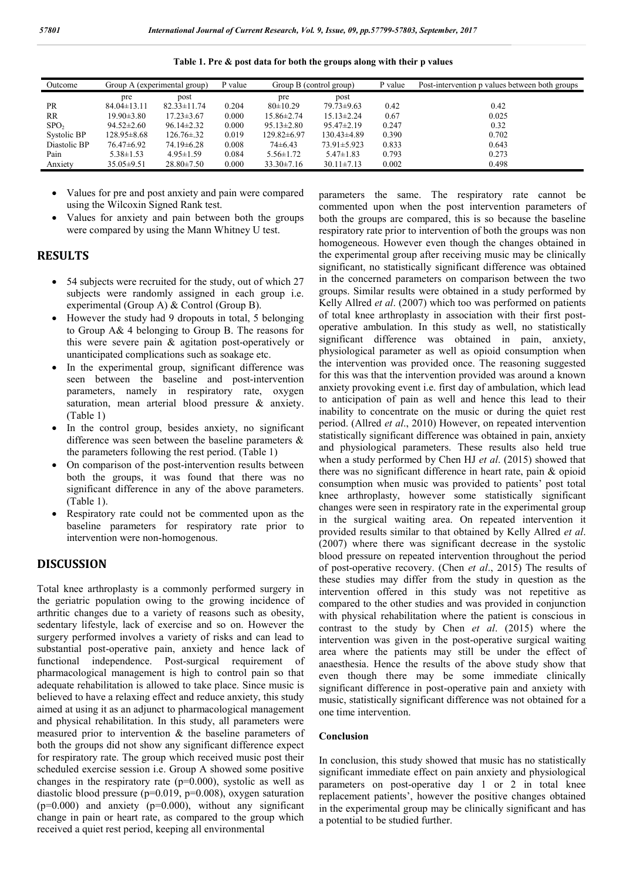| Outcome          | Group A (experimental group) |                   | P value | Group B (control group) |                   | P value | Post-intervention p values between both groups |
|------------------|------------------------------|-------------------|---------|-------------------------|-------------------|---------|------------------------------------------------|
|                  | pre                          | post              |         | pre                     | post              |         |                                                |
| <b>PR</b>        | $84.04 \pm 13.11$            | $82.33 \pm 11.74$ | 0.204   | $80 \pm 10.29$          | $79.73 \pm 9.63$  | 0.42    | 0.42                                           |
| <b>RR</b>        | $19.90 \pm 3.80$             | $17.23 \pm 3.67$  | 0.000   | $15.86 \pm 2.74$        | $15.13 \pm 2.24$  | 0.67    | 0.025                                          |
| SPO <sub>2</sub> | $94.52 \pm 2.60$             | $96.14 \pm 2.32$  | 0.000   | $95.13 \pm 2.80$        | $95.47 \pm 2.19$  | 0.247   | 0.32                                           |
| Systolic BP      | $128.95 \pm 8.68$            | $126.76 \pm 0.32$ | 0.019   | 129.82±6.97             | $130.43\pm4.89$   | 0.390   | 0.702                                          |
| Diastolic BP     | $76.47\pm 6.92$              | $74.19 \pm 6.28$  | 0.008   | $74\pm 6.43$            | $73.91 \pm 5.923$ | 0.833   | 0.643                                          |
| Pain             | $5.38 \pm 1.53$              | $4.95 \pm 1.59$   | 0.084   | $5.56 \pm 1.72$         | $5.47 \pm 1.83$   | 0.793   | 0.273                                          |
| Anxiety          | $35.05 \pm 9.51$             | $28.80 \pm 7.50$  | 0.000   | $33.30 \pm 7.16$        | $30.11 \pm 7.13$  | 0.002   | 0.498                                          |

**Table 1. Pre & post data for both the groups along with their p values**

- Values for pre and post anxiety and pain were compared using the Wilcoxin Signed Rank test.
- Values for anxiety and pain between both the groups were compared by using the Mann Whitney U test.

## **RESULTS**

- 54 subjects were recruited for the study, out of which 27 subjects were randomly assigned in each group i.e. experimental (Group A) & Control (Group B).
- However the study had 9 dropouts in total, 5 belonging to Group A& 4 belonging to Group B. The reasons for this were severe pain & agitation post-operatively or unanticipated complications such as soakage etc.
- In the experimental group, significant difference was seen between the baseline and post-intervention parameters, namely in respiratory rate, oxygen saturation, mean arterial blood pressure & anxiety. (Table 1)
- In the control group, besides anxiety, no significant difference was seen between the baseline parameters & the parameters following the rest period. (Table 1)
- On comparison of the post-intervention results between both the groups, it was found that there was no significant difference in any of the above parameters. (Table 1).
- Respiratory rate could not be commented upon as the baseline parameters for respiratory rate prior to intervention were non-homogenous.

## **DISCUSSION**

Total knee arthroplasty is a commonly performed surgery in the geriatric population owing to the growing incidence of arthritic changes due to a variety of reasons such as obesity, sedentary lifestyle, lack of exercise and so on. However the surgery performed involves a variety of risks and can lead to substantial post-operative pain, anxiety and hence lack of functional independence. Post-surgical requirement of pharmacological management is high to control pain so that adequate rehabilitation is allowed to take place. Since music is believed to have a relaxing effect and reduce anxiety, this study aimed at using it as an adjunct to pharmacological management and physical rehabilitation. In this study, all parameters were measured prior to intervention & the baseline parameters of both the groups did not show any significant difference expect for respiratory rate. The group which received music post their scheduled exercise session i.e. Group A showed some positive changes in the respiratory rate  $(p=0.000)$ , systolic as well as diastolic blood pressure (p=0.019, p=0.008), oxygen saturation  $(p=0.000)$  and anxiety  $(p=0.000)$ , without any significant change in pain or heart rate, as compared to the group which received a quiet rest period, keeping all environmental

parameters the same. The respiratory rate cannot be commented upon when the post intervention parameters of both the groups are compared, this is so because the baseline respiratory rate prior to intervention of both the groups was non homogeneous. However even though the changes obtained in the experimental group after receiving music may be clinically significant, no statistically significant difference was obtained in the concerned parameters on comparison between the two groups. Similar results were obtained in a study performed by Kelly Allred *et al*. (2007) which too was performed on patients of total knee arthroplasty in association with their first postoperative ambulation. In this study as well, no statistically significant difference was obtained in pain, anxiety, physiological parameter as well as opioid consumption when the intervention was provided once. The reasoning suggested for this was that the intervention provided was around a known anxiety provoking event i.e. first day of ambulation, which lead to anticipation of pain as well and hence this lead to their inability to concentrate on the music or during the quiet rest period. (Allred *et al*., 2010) However, on repeated intervention statistically significant difference was obtained in pain, anxiety and physiological parameters. These results also held true when a study performed by Chen HJ *et al*. (2015) showed that there was no significant difference in heart rate, pain & opioid consumption when music was provided to patients' post total knee arthroplasty, however some statistically significant changes were seen in respiratory rate in the experimental group in the surgical waiting area. On repeated intervention it provided results similar to that obtained by Kelly Allred *et al*. (2007) where there was significant decrease in the systolic blood pressure on repeated intervention throughout the period of post-operative recovery. (Chen *et al*., 2015) The results of these studies may differ from the study in question as the intervention offered in this study was not repetitive as compared to the other studies and was provided in conjunction with physical rehabilitation where the patient is conscious in contrast to the study by Chen *et al*. (2015) where the intervention was given in the post-operative surgical waiting area where the patients may still be under the effect of anaesthesia. Hence the results of the above study show that even though there may be some immediate clinically significant difference in post-operative pain and anxiety with music, statistically significant difference was not obtained for a one time intervention.

## **Conclusion**

In conclusion, this study showed that music has no statistically significant immediate effect on pain anxiety and physiological parameters on post-operative day 1 or 2 in total knee replacement patients', however the positive changes obtained in the experimental group may be clinically significant and has a potential to be studied further.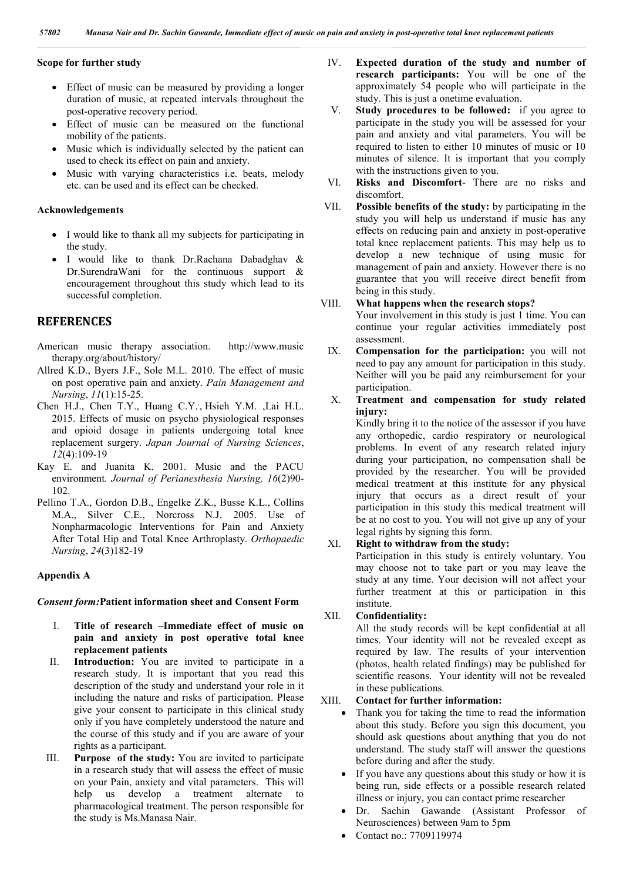## **Scope for further study**

- Effect of music can be measured by providing a longer duration of music, at repeated intervals throughout the post-operative recovery period.
- Effect of music can be measured on the functional mobility of the patients.
- Music which is individually selected by the patient can used to check its effect on pain and anxiety.
- Music with varying characteristics i.e. beats, melody etc. can be used and its effect can be checked.

#### **Acknowledgements**

- I would like to thank all my subjects for participating in the study.
- I would like to thank Dr.Rachana Dabadghav & Dr.SurendraWani for the continuous support & encouragement throughout this study which lead to its successful completion.

# **REFERENCES**

- American music therapy association. http://www.music therapy.org/about/history/
- Allred K.D., Byers J.F., Sole M.L. 2010. The effect of music on post operative pain and anxiety. *Pain Management and Nursing*, *11*(1):15-25.
- Chen H.J., Chen T.Y., Huang C.Y.. , Hsieh Y.M. ,Lai H.L. 2015. Effects of music on psycho physiological responses and opioid dosage in patients undergoing total knee replacement surgery. *Japan Journal of Nursing Sciences*, *12*(4):109-19
- Kay E. and Juanita K. 2001. Music and the PACU environment*. Journal of Perianesthesia Nursing, 16*(2)90- 102.
- Pellino T.A., Gordon D.B., Engelke Z.K., Busse K.L., Collins M.A., Silver C.E., Norcross N.J. 2005. Use of Nonpharmacologic Interventions for Pain and Anxiety After Total Hip and Total Knee Arthroplasty. *Orthopaedic Nursing*, *24*(3)182-19

#### **Appendix A**

#### *Consent form:***Patient information sheet and Consent Form**

- I. **Title of research –Immediate effect of music on pain and anxiety in post operative total knee replacement patients**
- II. **Introduction:** You are invited to participate in a research study. It is important that you read this description of the study and understand your role in it including the nature and risks of participation. Please give your consent to participate in this clinical study only if you have completely understood the nature and the course of this study and if you are aware of your rights as a participant.
- III. **Purpose of the study:** You are invited to participate in a research study that will assess the effect of music on your Pain, anxiety and vital parameters. This will help us develop a treatment alternate to pharmacological treatment. The person responsible for the study is Ms.Manasa Nair.
- IV. **Expected duration of the study and number of research participants:** You will be one of the approximately 54 people who will participate in the study. This is just a onetime evaluation.
- V. **Study procedures to be followed:** if you agree to participate in the study you will be assessed for your pain and anxiety and vital parameters. You will be required to listen to either 10 minutes of music or 10 minutes of silence. It is important that you comply with the instructions given to you.
- VI. **Risks and Discomfort** There are no risks and discomfort.
- VII. **Possible benefits of the study:** by participating in the study you will help us understand if music has any effects on reducing pain and anxiety in post-operative total knee replacement patients. This may help us to develop a new technique of using music for management of pain and anxiety. However there is no guarantee that you will receive direct benefit from being in this study.

## VIII. **What happens when the research stops?**

Your involvement in this study is just 1 time. You can continue your regular activities immediately post assessment.

- IX. **Compensation for the participation:** you will not need to pay any amount for participation in this study. Neither will you be paid any reimbursement for your participation.
- X. **Treatment and compensation for study related injury:**

Kindly bring it to the notice of the assessor if you have any orthopedic, cardio respiratory or neurological problems. In event of any research related injury during your participation, no compensation shall be provided by the researcher. You will be provided medical treatment at this institute for any physical injury that occurs as a direct result of your participation in this study this medical treatment will be at no cost to you. You will not give up any of your legal rights by signing this form.

## XI. **Right to withdraw from the study:**

Participation in this study is entirely voluntary. You may choose not to take part or you may leave the study at any time. Your decision will not affect your further treatment at this or participation in this institute.

### XII. **Confidentiality:**

All the study records will be kept confidential at all times. Your identity will not be revealed except as required by law. The results of your intervention (photos, health related findings) may be published for scientific reasons. Your identity will not be revealed in these publications.

## XIII. **Contact for further information:**

- Thank you for taking the time to read the information about this study. Before you sign this document, you should ask questions about anything that you do not understand. The study staff will answer the questions before during and after the study.
- If you have any questions about this study or how it is being run, side effects or a possible research related illness or injury, you can contact prime researcher
- Dr. Sachin Gawande (Assistant Professor of Neurosciences) between 9am to 5pm
- Contact no.: 7709119974